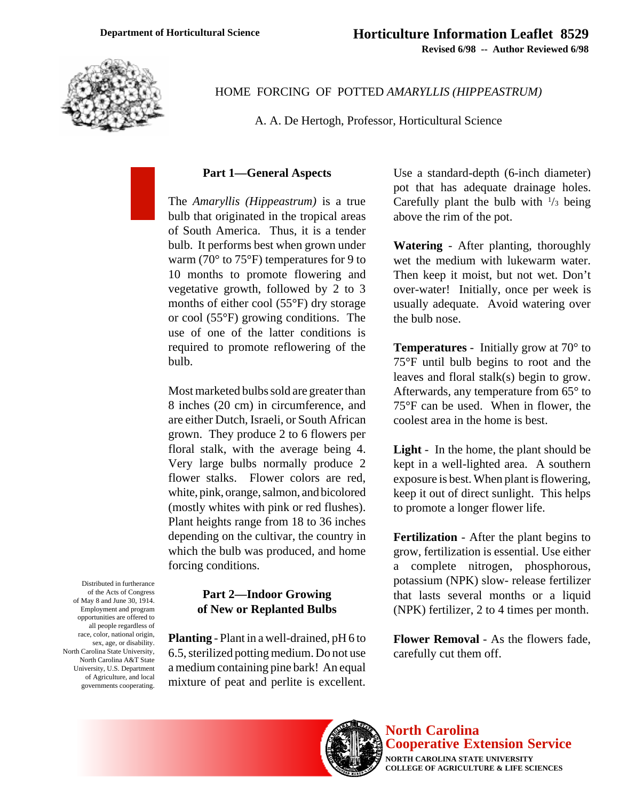

HOME FORCING OF POTTED *AMARYLLIS (HIPPEASTRUM)*

A. A. De Hertogh, Professor, Horticultural Science

# **Part 1—General Aspects**

The *Amaryllis (Hippeastrum)* is a true bulb that originated in the tropical areas of South America. Thus, it is a tender bulb. It performs best when grown under warm (70° to 75°F) temperatures for 9 to 10 months to promote flowering and vegetative growth, followed by 2 to 3 months of either cool (55°F) dry storage or cool (55°F) growing conditions. The use of one of the latter conditions is required to promote reflowering of the bulb.

Most marketed bulbs sold are greater than 8 inches (20 cm) in circumference, and are either Dutch, Israeli, or South African grown. They produce 2 to 6 flowers per floral stalk, with the average being 4. Very large bulbs normally produce 2 flower stalks. Flower colors are red, white, pink, orange, salmon, and bicolored (mostly whites with pink or red flushes). Plant heights range from 18 to 36 inches depending on the cultivar, the country in which the bulb was produced, and home forcing conditions.

# **Part 2—Indoor Growing of New or Replanted Bulbs**

**Planting** - Plant in a well-drained, pH 6 to 6.5, sterilized potting medium. Do not use a medium containing pine bark! An equal mixture of peat and perlite is excellent.

Use a standard-depth (6-inch diameter) pot that has adequate drainage holes. Carefully plant the bulb with  $\frac{1}{3}$  being above the rim of the pot.

**Watering** - After planting, thoroughly wet the medium with lukewarm water. Then keep it moist, but not wet. Don't over-water! Initially, once per week is usually adequate. Avoid watering over the bulb nose.

**Temperatures** - Initially grow at 70° to 75°F until bulb begins to root and the leaves and floral stalk(s) begin to grow. Afterwards, any temperature from 65° to 75°F can be used. When in flower, the coolest area in the home is best.

**Light** - In the home, the plant should be kept in a well-lighted area. A southern exposure is best. When plant is flowering, keep it out of direct sunlight. This helps to promote a longer flower life.

**Fertilization** - After the plant begins to grow, fertilization is essential. Use either a complete nitrogen, phosphorous, potassium (NPK) slow- release fertilizer that lasts several months or a liquid (NPK) fertilizer, 2 to 4 times per month.

**Flower Removal** - As the flowers fade, carefully cut them off.



Distributed in furtherance of the Acts of Congress of May 8 and June 30, 1914. Employment and program opportunities are offered to all people regardless of race, color, national origin,



#### **North Carolina Cooperative Extension Service NORTH CAROLINA STATE UNIVERSITY**

**COLLEGE OF AGRICULTURE & LIFE SCIENCES**